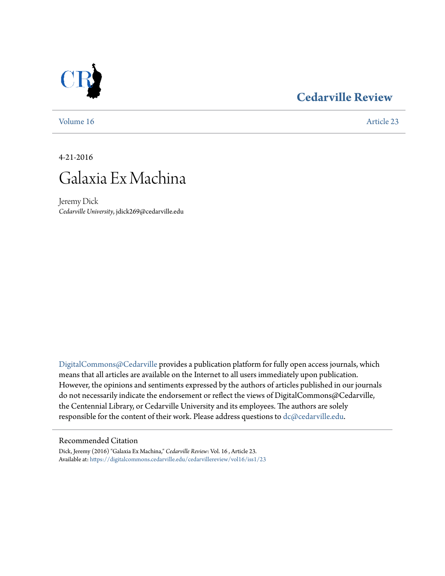# **[Cedarville Review](https://digitalcommons.cedarville.edu/cedarvillereview?utm_source=digitalcommons.cedarville.edu%2Fcedarvillereview%2Fvol16%2Fiss1%2F23&utm_medium=PDF&utm_campaign=PDFCoverPages)**



[Volume 16](https://digitalcommons.cedarville.edu/cedarvillereview/vol16?utm_source=digitalcommons.cedarville.edu%2Fcedarvillereview%2Fvol16%2Fiss1%2F23&utm_medium=PDF&utm_campaign=PDFCoverPages) [Article 23](https://digitalcommons.cedarville.edu/cedarvillereview/vol16/iss1/23?utm_source=digitalcommons.cedarville.edu%2Fcedarvillereview%2Fvol16%2Fiss1%2F23&utm_medium=PDF&utm_campaign=PDFCoverPages)

4-21-2016



Jeremy Dick *Cedarville University*, jdick269@cedarville.edu

[DigitalCommons@Cedarville](http://digitalcommons.cedarville.edu) provides a publication platform for fully open access journals, which means that all articles are available on the Internet to all users immediately upon publication. However, the opinions and sentiments expressed by the authors of articles published in our journals do not necessarily indicate the endorsement or reflect the views of DigitalCommons@Cedarville, the Centennial Library, or Cedarville University and its employees. The authors are solely responsible for the content of their work. Please address questions to [dc@cedarville.edu](mailto:dc@cedarville.edu).

#### Recommended Citation

Dick, Jeremy (2016) "Galaxia Ex Machina," *Cedarville Review*: Vol. 16 , Article 23. Available at: [https://digitalcommons.cedarville.edu/cedarvillereview/vol16/iss1/23](https://digitalcommons.cedarville.edu/cedarvillereview/vol16/iss1/23?utm_source=digitalcommons.cedarville.edu%2Fcedarvillereview%2Fvol16%2Fiss1%2F23&utm_medium=PDF&utm_campaign=PDFCoverPages)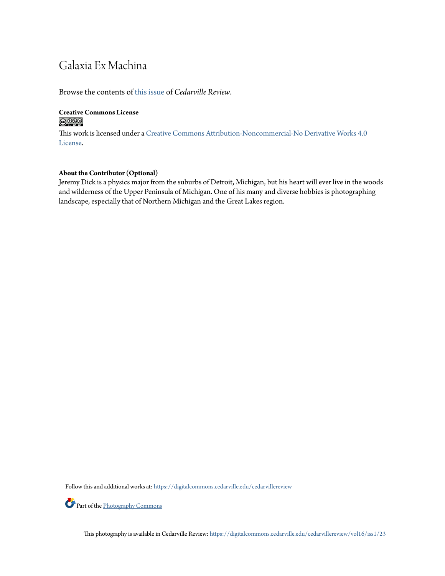## Galaxia Ex Machina

Browse the contents of [this issue](https://digitalcommons.cedarville.edu/cedarvillereview/vol16/iss1) of *Cedarville Review*.

### **Creative Commons License**  $\bigcirc$   $\circ$

This work is licensed under a [Creative Commons Attribution-Noncommercial-No Derivative Works 4.0](http://creativecommons.org/licenses/by-nc-nd/4.0/) [License.](http://creativecommons.org/licenses/by-nc-nd/4.0/)

### **About the Contributor (Optional)**

Jeremy Dick is a physics major from the suburbs of Detroit, Michigan, but his heart will ever live in the woods and wilderness of the Upper Peninsula of Michigan. One of his many and diverse hobbies is photographing landscape, especially that of Northern Michigan and the Great Lakes region.

Follow this and additional works at: [https://digitalcommons.cedarville.edu/cedarvillereview](https://digitalcommons.cedarville.edu/cedarvillereview?utm_source=digitalcommons.cedarville.edu%2Fcedarvillereview%2Fvol16%2Fiss1%2F23&utm_medium=PDF&utm_campaign=PDFCoverPages)

Part of the [Photography Commons](http://network.bepress.com/hgg/discipline/1142?utm_source=digitalcommons.cedarville.edu%2Fcedarvillereview%2Fvol16%2Fiss1%2F23&utm_medium=PDF&utm_campaign=PDFCoverPages)